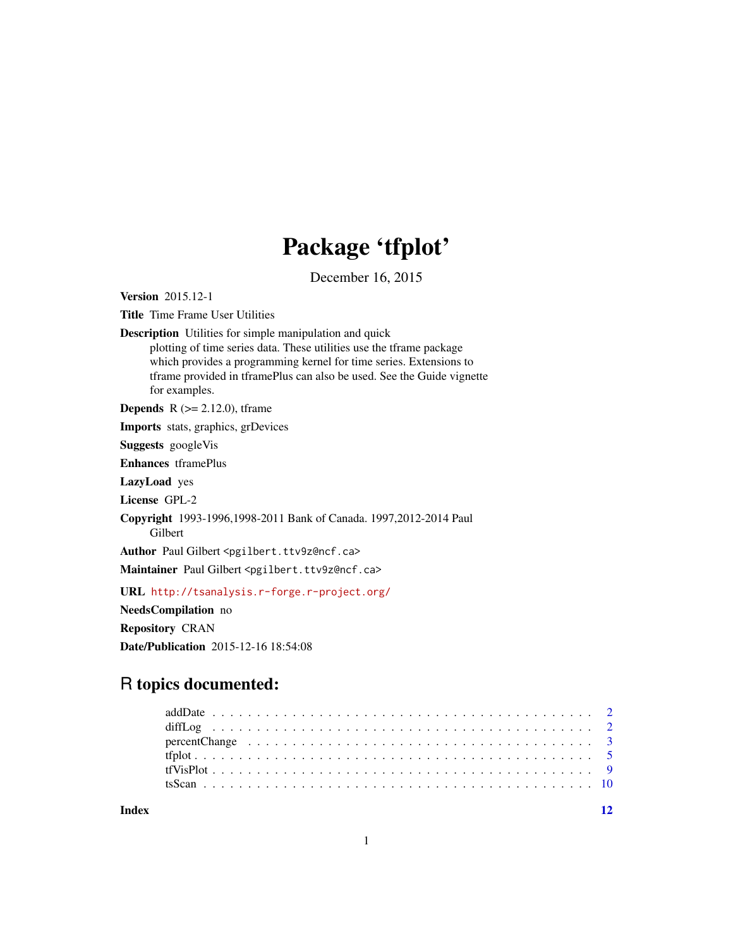# Package 'tfplot'

December 16, 2015

<span id="page-0-0"></span>Version 2015.12-1 Title Time Frame User Utilities Description Utilities for simple manipulation and quick plotting of time series data. These utilities use the tframe package which provides a programming kernel for time series. Extensions to tframe provided in tframePlus can also be used. See the Guide vignette for examples. **Depends** R  $(>= 2.12.0)$ , tframe Imports stats, graphics, grDevices Suggests googleVis Enhances tframePlus LazyLoad yes License GPL-2 Copyright 1993-1996,1998-2011 Bank of Canada. 1997,2012-2014 Paul Gilbert Author Paul Gilbert <pgilbert.ttv9z@ncf.ca> Maintainer Paul Gilbert <pgilbert.ttv9z@ncf.ca> URL <http://tsanalysis.r-forge.r-project.org/> NeedsCompilation no Repository CRAN Date/Publication 2015-12-16 18:54:08 R topics documented:

# addDate . . . . . . . . . . . . . . . . . . . . . . . . . . . . . . . . . . . . . . . . . . . [2](#page-1-0)

**Index** [12](#page-11-0)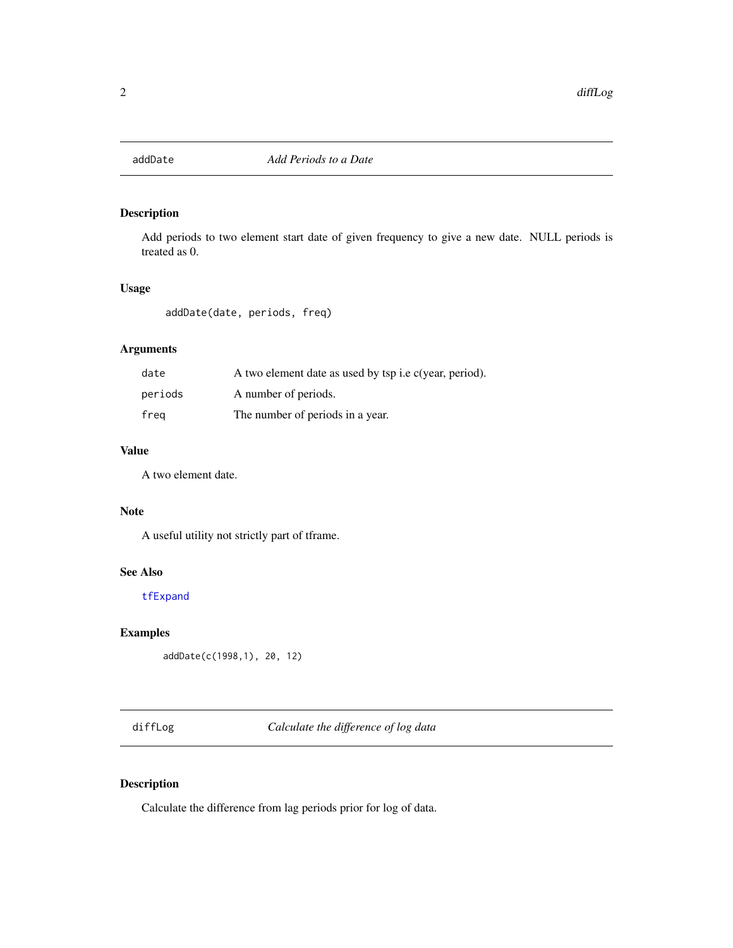<span id="page-1-0"></span>

# Description

Add periods to two element start date of given frequency to give a new date. NULL periods is treated as 0.

# Usage

```
addDate(date, periods, freq)
```
# Arguments

| date    | A two element date as used by tsp <i>i.e c(year, period)</i> . |
|---------|----------------------------------------------------------------|
| periods | A number of periods.                                           |
| freg    | The number of periods in a year.                               |

#### Value

A two element date.

#### Note

A useful utility not strictly part of tframe.

#### See Also

[tfExpand](#page-0-0)

# Examples

addDate(c(1998,1), 20, 12)

diffLog *Calculate the difference of log data*

# Description

Calculate the difference from lag periods prior for log of data.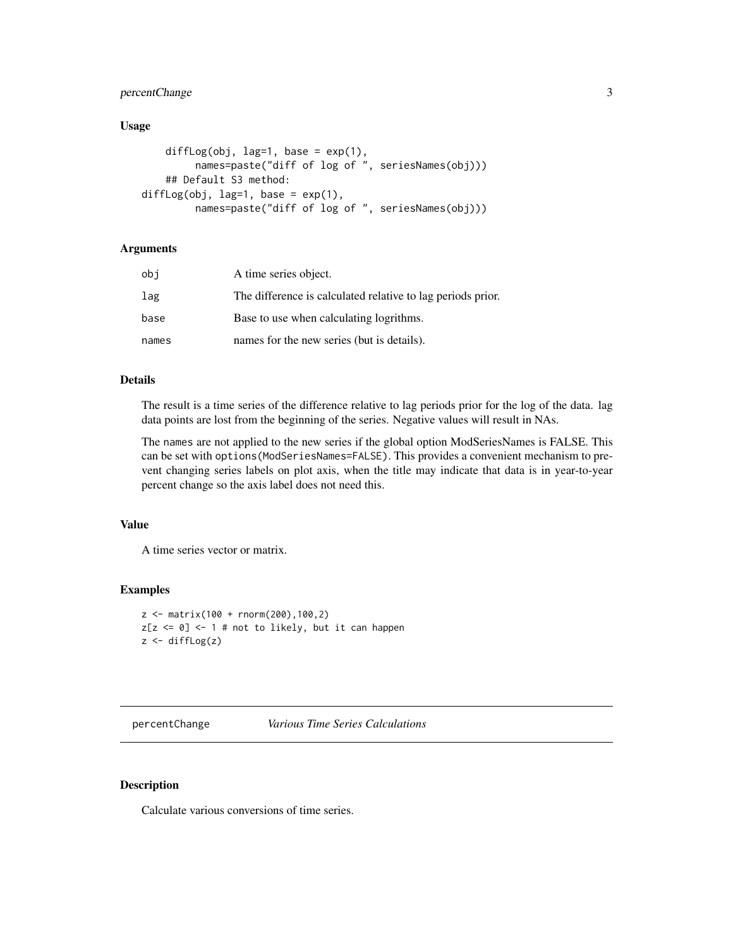# <span id="page-2-0"></span>percentChange 3

# Usage

```
diffLog(obj, lag=1, base = exp(1),
         names=paste("diff of log of ", seriesNames(obj)))
    ## Default S3 method:
diffLog(obj, lag=1, base = exp(1),
         names=paste("diff of log of ", seriesNames(obj)))
```
# Arguments

| obi   | A time series object.                                       |
|-------|-------------------------------------------------------------|
| lag   | The difference is calculated relative to lag periods prior. |
| base  | Base to use when calculating logrithms.                     |
| names | names for the new series (but is details).                  |

#### Details

The result is a time series of the difference relative to lag periods prior for the log of the data. lag data points are lost from the beginning of the series. Negative values will result in NAs.

The names are not applied to the new series if the global option ModSeriesNames is FALSE. This can be set with options(ModSeriesNames=FALSE). This provides a convenient mechanism to prevent changing series labels on plot axis, when the title may indicate that data is in year-to-year percent change so the axis label does not need this.

#### Value

A time series vector or matrix.

#### Examples

```
z <- matrix(100 + rnorm(200),100,2)
z[z \le 0] <- 1 # not to likely, but it can happen
z \leftarrow diffLog(z)
```
#### percentChange *Various Time Series Calculations*

## Description

Calculate various conversions of time series.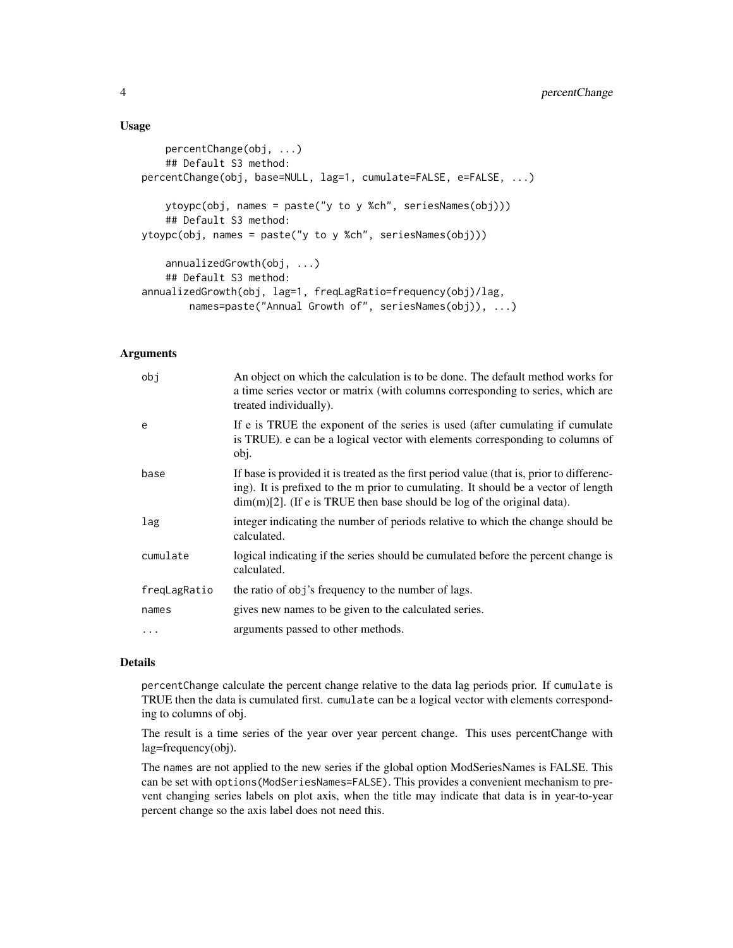#### Usage

```
percentChange(obj, ...)
    ## Default S3 method:
percentChange(obj, base=NULL, lag=1, cumulate=FALSE, e=FALSE, ...)
    ytoypc(obj, names = paste("y to y %ch", seriesNames(obj)))
    ## Default S3 method:
ytoypc(obj, names = paste("y to y %ch", seriesNames(obj)))
    annualizedGrowth(obj, ...)
    ## Default S3 method:
annualizedGrowth(obj, lag=1, freqLagRatio=frequency(obj)/lag,
        names=paste("Annual Growth of", seriesNames(obj)), ...)
```
#### **Arguments**

| obj          | An object on which the calculation is to be done. The default method works for<br>a time series vector or matrix (with columns corresponding to series, which are<br>treated individually).                                                                    |
|--------------|----------------------------------------------------------------------------------------------------------------------------------------------------------------------------------------------------------------------------------------------------------------|
| e            | If e is TRUE the exponent of the series is used (after cumulating if cumulate<br>is TRUE). e can be a logical vector with elements corresponding to columns of<br>obj.                                                                                         |
| base         | If base is provided it is treated as the first period value (that is, prior to differenc-<br>ing). It is prefixed to the m prior to cumulating. It should be a vector of length<br>$\dim(m)[2]$ . (If e is TRUE then base should be log of the original data). |
| lag          | integer indicating the number of periods relative to which the change should be<br>calculated.                                                                                                                                                                 |
| cumulate     | logical indicating if the series should be cumulated before the percent change is<br>calculated.                                                                                                                                                               |
| freqLagRatio | the ratio of obj's frequency to the number of lags.                                                                                                                                                                                                            |
| names        | gives new names to be given to the calculated series.                                                                                                                                                                                                          |
| .            | arguments passed to other methods.                                                                                                                                                                                                                             |

### Details

percentChange calculate the percent change relative to the data lag periods prior. If cumulate is TRUE then the data is cumulated first. cumulate can be a logical vector with elements corresponding to columns of obj.

The result is a time series of the year over year percent change. This uses percentChange with lag=frequency(obj).

The names are not applied to the new series if the global option ModSeriesNames is FALSE. This can be set with options(ModSeriesNames=FALSE). This provides a convenient mechanism to prevent changing series labels on plot axis, when the title may indicate that data is in year-to-year percent change so the axis label does not need this.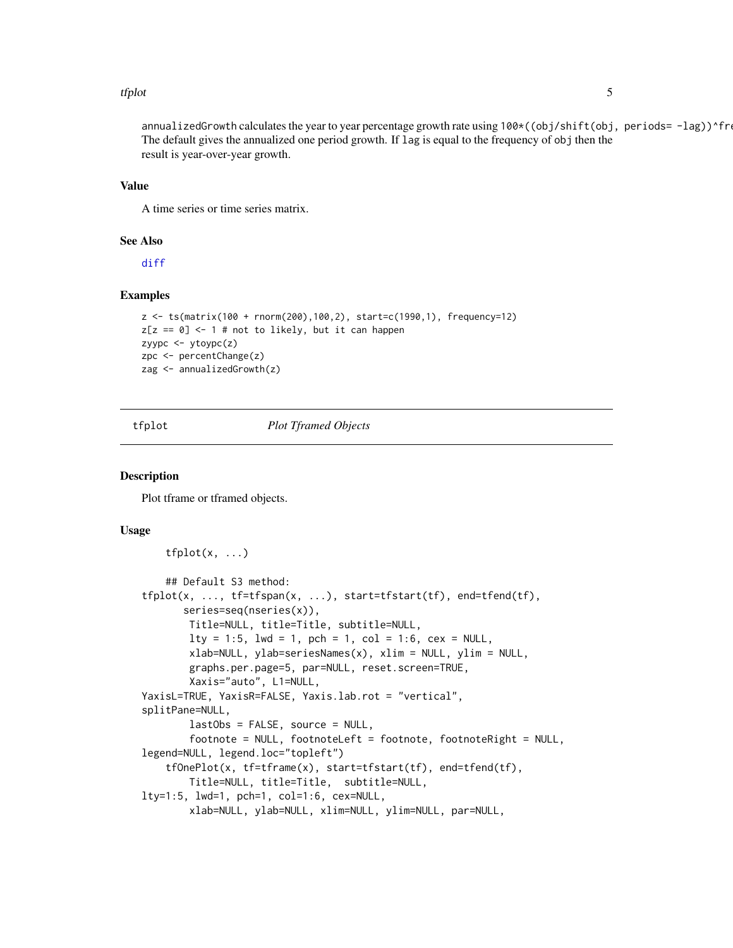#### <span id="page-4-0"></span>tfplot 5

annualizedGrowth calculates the year to year percentage growth rate using  $100*(\text{obj/s}hift(\text{obj}, \text{periods} = -lag))$ ^fre The default gives the annualized one period growth. If lag is equal to the frequency of obj then the result is year-over-year growth.

#### Value

A time series or time series matrix.

#### See Also

[diff](#page-0-0)

# Examples

```
z <- ts(matrix(100 + rnorm(200),100,2), start=c(1990,1), frequency=12)
z[z == 0] \leftarrow 1 # not to likely, but it can happen
zyypc <- ytoypc(z)
zpc <- percentChange(z)
zag <- annualizedGrowth(z)
```
<span id="page-4-1"></span>

#### tfplot *Plot Tframed Objects*

#### <span id="page-4-2"></span>Description

Plot tframe or tframed objects.

#### Usage

```
tfplot(x, \ldots)## Default S3 method:
tfplot(x, ..., tf=tfspan(x, ...), start=tfstart(tf), end=tfend(tf),
       series=seq(nseries(x)),
       Title=NULL, title=Title, subtitle=NULL,
       lty = 1:5, lwd = 1, pch = 1, col = 1:6, cex = NULL,
       xlab=NULL, ylab=seriesNames(x), xlim = NULL, ylim = NULL,
       graphs.per.page=5, par=NULL, reset.screen=TRUE,
       Xaxis="auto", L1=NULL,
YaxisL=TRUE, YaxisR=FALSE, Yaxis.lab.rot = "vertical",
splitPane=NULL,
       lastObs = FALSE, source = NULL,
       footnote = NULL, footnoteLeft = footnote, footnoteRight = NULL,
legend=NULL, legend.loc="topleft")
    tfOnePlot(x, tf=tframe(x), start=tfstart(tf), end=tfend(tf),
       Title=NULL, title=Title, subtitle=NULL,
lty=1:5, lwd=1, pch=1, col=1:6, cex=NULL,
       xlab=NULL, ylab=NULL, xlim=NULL, ylim=NULL, par=NULL,
```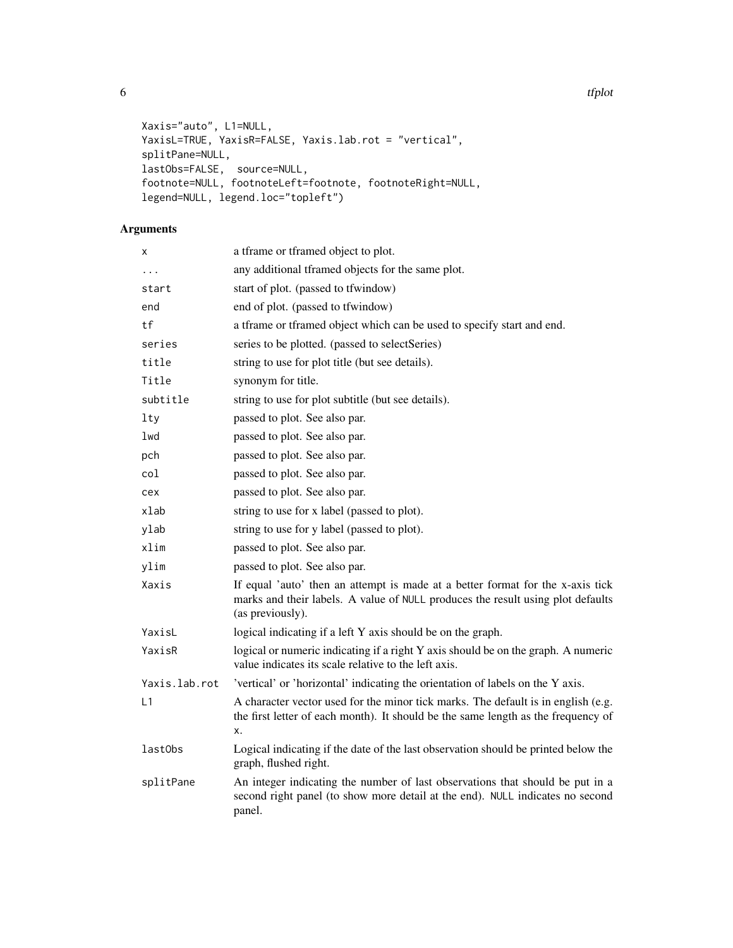```
Xaxis="auto", L1=NULL,
YaxisL=TRUE, YaxisR=FALSE, Yaxis.lab.rot = "vertical",
splitPane=NULL,
lastObs=FALSE, source=NULL,
footnote=NULL, footnoteLeft=footnote, footnoteRight=NULL,
legend=NULL, legend.loc="topleft")
```
# Arguments

| X             | a tframe or tframed object to plot.                                                                                                                                                   |
|---------------|---------------------------------------------------------------------------------------------------------------------------------------------------------------------------------------|
| $\cdots$      | any additional tframed objects for the same plot.                                                                                                                                     |
| start         | start of plot. (passed to tfwindow)                                                                                                                                                   |
| end           | end of plot. (passed to tfwindow)                                                                                                                                                     |
| tf            | a tframe or tframed object which can be used to specify start and end.                                                                                                                |
| series        | series to be plotted. (passed to selectSeries)                                                                                                                                        |
| title         | string to use for plot title (but see details).                                                                                                                                       |
| Title         | synonym for title.                                                                                                                                                                    |
| subtitle      | string to use for plot subtitle (but see details).                                                                                                                                    |
| lty           | passed to plot. See also par.                                                                                                                                                         |
| lwd           | passed to plot. See also par.                                                                                                                                                         |
| pch           | passed to plot. See also par.                                                                                                                                                         |
| col           | passed to plot. See also par.                                                                                                                                                         |
| cex           | passed to plot. See also par.                                                                                                                                                         |
| xlab          | string to use for x label (passed to plot).                                                                                                                                           |
| ylab          | string to use for y label (passed to plot).                                                                                                                                           |
| xlim          | passed to plot. See also par.                                                                                                                                                         |
| ylim          | passed to plot. See also par.                                                                                                                                                         |
| Xaxis         | If equal 'auto' then an attempt is made at a better format for the x-axis tick<br>marks and their labels. A value of NULL produces the result using plot defaults<br>(as previously). |
| YaxisL        | logical indicating if a left Y axis should be on the graph.                                                                                                                           |
| YaxisR        | logical or numeric indicating if a right Y axis should be on the graph. A numeric<br>value indicates its scale relative to the left axis.                                             |
| Yaxis.lab.rot | 'vertical' or 'horizontal' indicating the orientation of labels on the Y axis.                                                                                                        |
| L1            | A character vector used for the minor tick marks. The default is in english (e.g.<br>the first letter of each month). It should be the same length as the frequency of<br>X.          |
| lastObs       | Logical indicating if the date of the last observation should be printed below the<br>graph, flushed right.                                                                           |
| splitPane     | An integer indicating the number of last observations that should be put in a<br>second right panel (to show more detail at the end). NULL indicates no second<br>panel.              |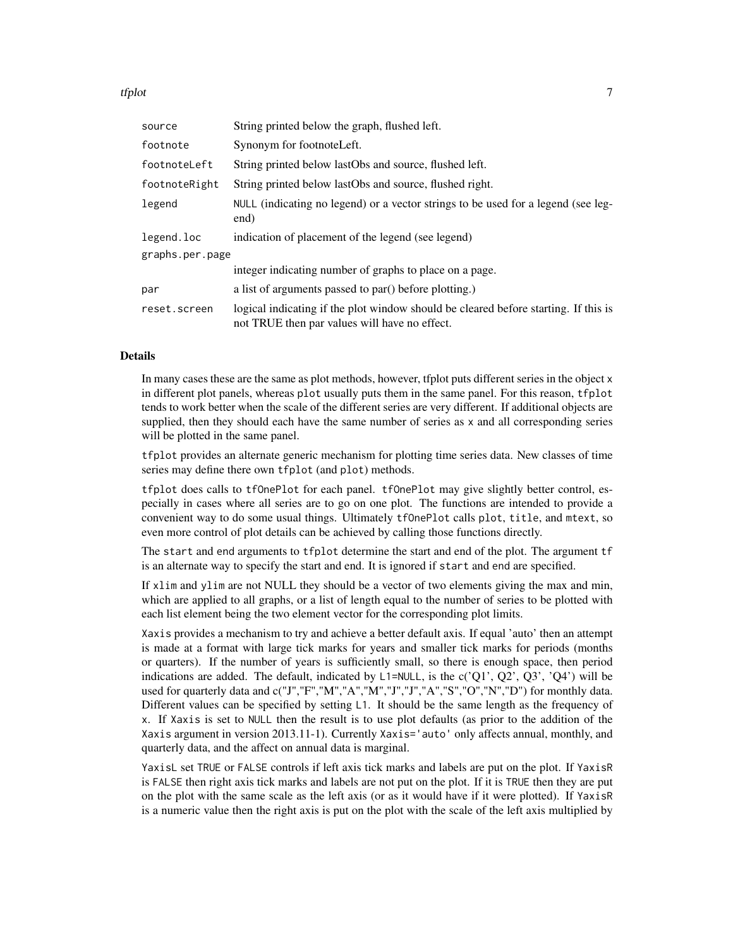tfplot the contract of the contract of the contract of the contract of the contract of the contract of the contract of the contract of the contract of the contract of the contract of the contract of the contract of the con

| source          | String printed below the graph, flushed left.                                                                                        |
|-----------------|--------------------------------------------------------------------------------------------------------------------------------------|
| footnote        | Synonym for footnoteLeft.                                                                                                            |
| footnoteLeft    | String printed below lastObs and source, flushed left.                                                                               |
| footnoteRight   | String printed below lastObs and source, flushed right.                                                                              |
| legend          | NULL (indicating no legend) or a vector strings to be used for a legend (see leg-<br>end)                                            |
| legend.loc      | indication of placement of the legend (see legend)                                                                                   |
| graphs.per.page |                                                                                                                                      |
|                 | integer indicating number of graphs to place on a page.                                                                              |
| par             | a list of arguments passed to par() before plotting.)                                                                                |
| reset.screen    | logical indicating if the plot window should be cleared before starting. If this is<br>not TRUE then par values will have no effect. |

#### Details

In many cases these are the same as plot methods, however, tfplot puts different series in the object x in different plot panels, whereas plot usually puts them in the same panel. For this reason, tfplot tends to work better when the scale of the different series are very different. If additional objects are supplied, then they should each have the same number of series as x and all corresponding series will be plotted in the same panel.

tfplot provides an alternate generic mechanism for plotting time series data. New classes of time series may define there own tfplot (and plot) methods.

tfplot does calls to tfOnePlot for each panel. tfOnePlot may give slightly better control, especially in cases where all series are to go on one plot. The functions are intended to provide a convenient way to do some usual things. Ultimately tfOnePlot calls plot, title, and mtext, so even more control of plot details can be achieved by calling those functions directly.

The start and end arguments to tfplot determine the start and end of the plot. The argument tf is an alternate way to specify the start and end. It is ignored if start and end are specified.

If xlim and ylim are not NULL they should be a vector of two elements giving the max and min, which are applied to all graphs, or a list of length equal to the number of series to be plotted with each list element being the two element vector for the corresponding plot limits.

Xaxis provides a mechanism to try and achieve a better default axis. If equal 'auto' then an attempt is made at a format with large tick marks for years and smaller tick marks for periods (months or quarters). If the number of years is sufficiently small, so there is enough space, then period indications are added. The default, indicated by  $L1 = NULL$ , is the  $c'(Q1', Q2', Q3', 'Q4')$  will be used for quarterly data and c("J","F","M","A","M","J","J","A","S","O","N","D") for monthly data. Different values can be specified by setting L1. It should be the same length as the frequency of x. If Xaxis is set to NULL then the result is to use plot defaults (as prior to the addition of the Xaxis argument in version 2013.11-1). Currently Xaxis='auto' only affects annual, monthly, and quarterly data, and the affect on annual data is marginal.

YaxisL set TRUE or FALSE controls if left axis tick marks and labels are put on the plot. If YaxisR is FALSE then right axis tick marks and labels are not put on the plot. If it is TRUE then they are put on the plot with the same scale as the left axis (or as it would have if it were plotted). If YaxisR is a numeric value then the right axis is put on the plot with the scale of the left axis multiplied by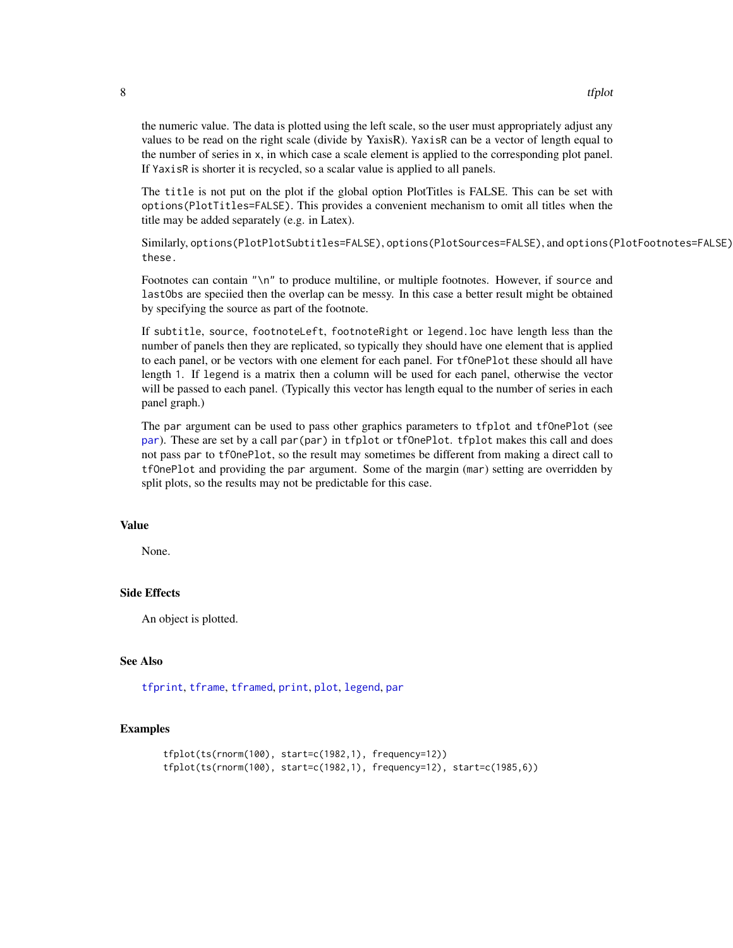the numeric value. The data is plotted using the left scale, so the user must appropriately adjust any values to be read on the right scale (divide by YaxisR). YaxisR can be a vector of length equal to the number of series in x, in which case a scale element is applied to the corresponding plot panel. If YaxisR is shorter it is recycled, so a scalar value is applied to all panels.

The title is not put on the plot if the global option PlotTitles is FALSE. This can be set with options(PlotTitles=FALSE). This provides a convenient mechanism to omit all titles when the title may be added separately (e.g. in Latex).

Similarly, options(PlotPlotSubtitles=FALSE), options(PlotSources=FALSE), and options(PlotFootnotes=FALSE) these.

Footnotes can contain "\n" to produce multiline, or multiple footnotes. However, if source and lastObs are speciied then the overlap can be messy. In this case a better result might be obtained by specifying the source as part of the footnote.

If subtitle, source, footnoteLeft, footnoteRight or legend.loc have length less than the number of panels then they are replicated, so typically they should have one element that is applied to each panel, or be vectors with one element for each panel. For tfOnePlot these should all have length 1. If legend is a matrix then a column will be used for each panel, otherwise the vector will be passed to each panel. (Typically this vector has length equal to the number of series in each panel graph.)

The par argument can be used to pass other graphics parameters to tfplot and tfOnePlot (see [par](#page-0-0)). These are set by a call par(par) in tfplot or tfOnePlot. tfplot makes this call and does not pass par to tfOnePlot, so the result may sometimes be different from making a direct call to tfOnePlot and providing the par argument. Some of the margin (mar) setting are overridden by split plots, so the results may not be predictable for this case.

#### Value

None.

#### Side Effects

An object is plotted.

#### See Also

[tfprint](#page-0-0), [tframe](#page-0-0), [tframed](#page-0-0), [print](#page-0-0), [plot](#page-0-0), [legend](#page-0-0), [par](#page-0-0)

#### Examples

```
tfplot(ts(rnorm(100), start=c(1982,1), frequency=12))
tfplot(ts(rnorm(100), start=c(1982,1), frequency=12), start=c(1985,6))
```
<span id="page-7-0"></span>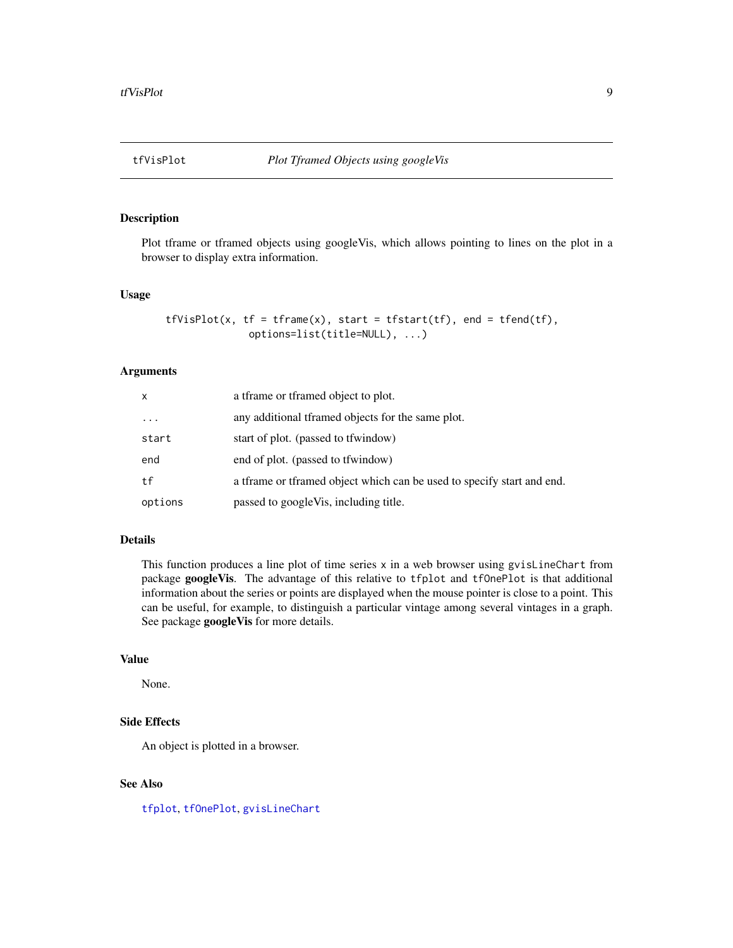<span id="page-8-0"></span>

# Description

Plot tframe or tframed objects using googleVis, which allows pointing to lines on the plot in a browser to display extra information.

#### Usage

```
tfVisPlot(x, tf = tfname(x), start = tfstart(tf), end = tfend(tf),options=list(title=NULL), ...)
```
#### Arguments

| X        | a trame or tramed object to plot.                                      |
|----------|------------------------------------------------------------------------|
| $\cdots$ | any additional tramed objects for the same plot.                       |
| start    | start of plot. (passed to the findow)                                  |
| end      | end of plot. (passed to the findow)                                    |
| tf       | a tframe or tframed object which can be used to specify start and end. |
| options  | passed to googleVis, including title.                                  |

# Details

This function produces a line plot of time series  $x$  in a web browser using gvisLineChart from package googleVis. The advantage of this relative to tfplot and tfOnePlot is that additional information about the series or points are displayed when the mouse pointer is close to a point. This can be useful, for example, to distinguish a particular vintage among several vintages in a graph. See package googleVis for more details.

# Value

None.

# Side Effects

An object is plotted in a browser.

## See Also

[tfplot](#page-4-1), [tfOnePlot](#page-4-2), [gvisLineChart](#page-0-0)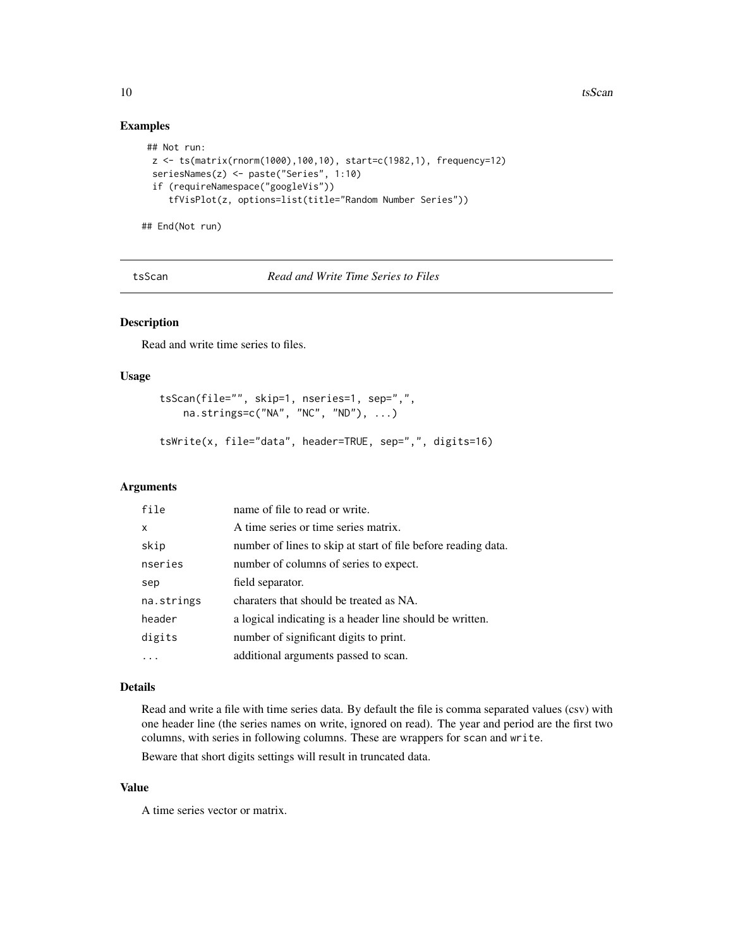# Examples

```
## Not run:
 z <- ts(matrix(rnorm(1000),100,10), start=c(1982,1), frequency=12)
 seriesNames(z) <- paste("Series", 1:10)
 if (requireNamespace("googleVis"))
     tfVisPlot(z, options=list(title="Random Number Series"))
## End(Not run)
```
tsScan *Read and Write Time Series to Files*

# Description

Read and write time series to files.

#### Usage

```
tsScan(file="", skip=1, nseries=1, sep=",",
   na.strings=c("NA", "NC", "ND"), ...)
```
tsWrite(x, file="data", header=TRUE, sep=",", digits=16)

# Arguments

| file       | name of file to read or write.                                |
|------------|---------------------------------------------------------------|
| x          | A time series or time series matrix.                          |
| skip       | number of lines to skip at start of file before reading data. |
| nseries    | number of columns of series to expect.                        |
| sep        | field separator.                                              |
| na.strings | charaters that should be treated as NA.                       |
| header     | a logical indicating is a header line should be written.      |
| digits     | number of significant digits to print.                        |
|            | additional arguments passed to scan.                          |

#### Details

Read and write a file with time series data. By default the file is comma separated values (csv) with one header line (the series names on write, ignored on read). The year and period are the first two columns, with series in following columns. These are wrappers for scan and write.

Beware that short digits settings will result in truncated data.

# Value

A time series vector or matrix.

<span id="page-9-0"></span>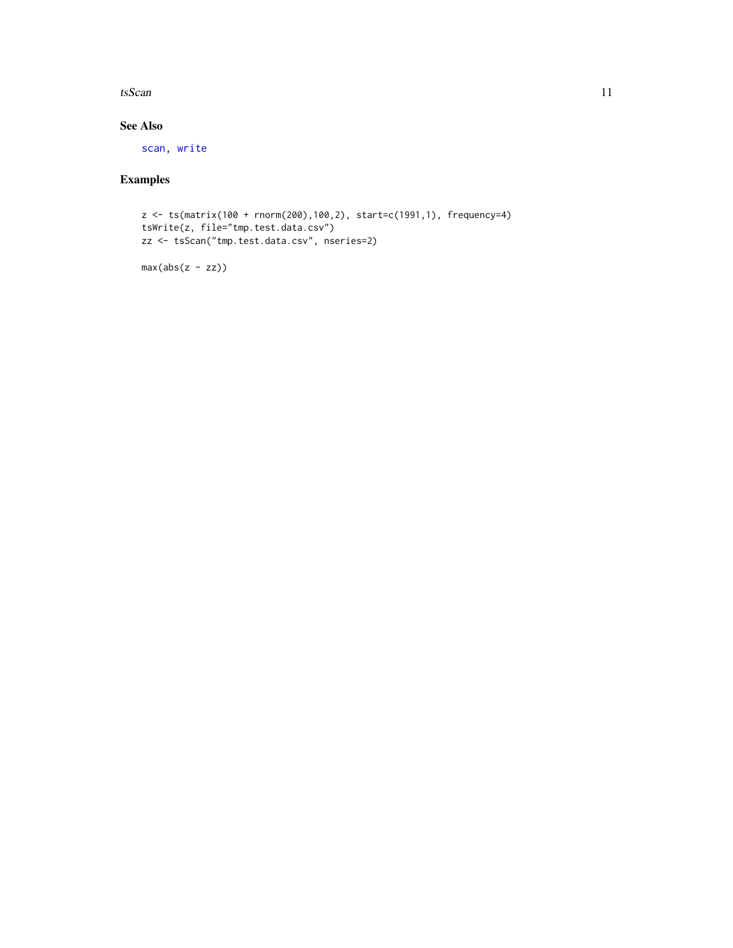#### <span id="page-10-0"></span> $t$ sScan 11

# See Also

[scan,](#page-0-0) [write](#page-0-0)

# Examples

```
z <- ts(matrix(100 + rnorm(200),100,2), start=c(1991,1), frequency=4)
tsWrite(z, file="tmp.test.data.csv")
zz <- tsScan("tmp.test.data.csv", nseries=2)
```
 $max(abs(z - zz))$